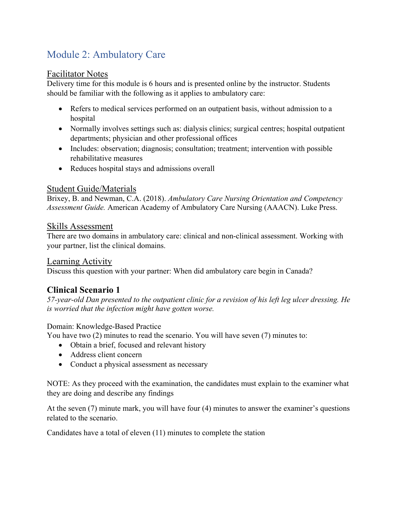# Module 2: Ambulatory Care

#### Facilitator Notes

Delivery time for this module is 6 hours and is presented online by the instructor. Students should be familiar with the following as it applies to ambulatory care:

- Refers to medical services performed on an outpatient basis, without admission to a hospital
- Normally involves settings such as: dialysis clinics; surgical centres; hospital outpatient departments; physician and other professional offices
- Includes: observation; diagnosis; consultation; treatment; intervention with possible rehabilitative measures
- Reduces hospital stays and admissions overall

### Student Guide/Materials

Brixey, B. and Newman, C.A. (2018). *Ambulatory Care Nursing Orientation and Competency Assessment Guide.* American Academy of Ambulatory Care Nursing (AAACN). Luke Press.

#### Skills Assessment

There are two domains in ambulatory care: clinical and non-clinical assessment. Working with your partner, list the clinical domains.

#### Learning Activity

Discuss this question with your partner: When did ambulatory care begin in Canada?

#### **Clinical Scenario 1**

*57-year-old Dan presented to the outpatient clinic for a revision of his left leg ulcer dressing. He is worried that the infection might have gotten worse.* 

#### Domain: Knowledge-Based Practice

You have two (2) minutes to read the scenario. You will have seven (7) minutes to:

- Obtain a brief, focused and relevant history
- Address client concern
- Conduct a physical assessment as necessary

NOTE: As they proceed with the examination, the candidates must explain to the examiner what they are doing and describe any findings

At the seven (7) minute mark, you will have four (4) minutes to answer the examiner's questions related to the scenario.

Candidates have a total of eleven (11) minutes to complete the station